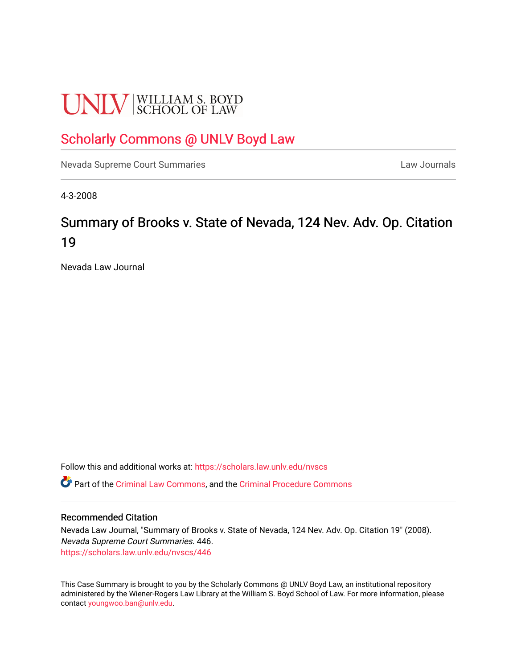# **UNLV** SCHOOL OF LAW

## [Scholarly Commons @ UNLV Boyd Law](https://scholars.law.unlv.edu/)

[Nevada Supreme Court Summaries](https://scholars.law.unlv.edu/nvscs) **Law Journals** Law Journals

4-3-2008

# Summary of Brooks v. State of Nevada, 124 Nev. Adv. Op. Citation 19

Nevada Law Journal

Follow this and additional works at: [https://scholars.law.unlv.edu/nvscs](https://scholars.law.unlv.edu/nvscs?utm_source=scholars.law.unlv.edu%2Fnvscs%2F446&utm_medium=PDF&utm_campaign=PDFCoverPages)

Part of the [Criminal Law Commons,](http://network.bepress.com/hgg/discipline/912?utm_source=scholars.law.unlv.edu%2Fnvscs%2F446&utm_medium=PDF&utm_campaign=PDFCoverPages) and the [Criminal Procedure Commons](http://network.bepress.com/hgg/discipline/1073?utm_source=scholars.law.unlv.edu%2Fnvscs%2F446&utm_medium=PDF&utm_campaign=PDFCoverPages)

#### Recommended Citation

Nevada Law Journal, "Summary of Brooks v. State of Nevada, 124 Nev. Adv. Op. Citation 19" (2008). Nevada Supreme Court Summaries. 446. [https://scholars.law.unlv.edu/nvscs/446](https://scholars.law.unlv.edu/nvscs/446?utm_source=scholars.law.unlv.edu%2Fnvscs%2F446&utm_medium=PDF&utm_campaign=PDFCoverPages)

This Case Summary is brought to you by the Scholarly Commons @ UNLV Boyd Law, an institutional repository administered by the Wiener-Rogers Law Library at the William S. Boyd School of Law. For more information, please contact [youngwoo.ban@unlv.edu](mailto:youngwoo.ban@unlv.edu).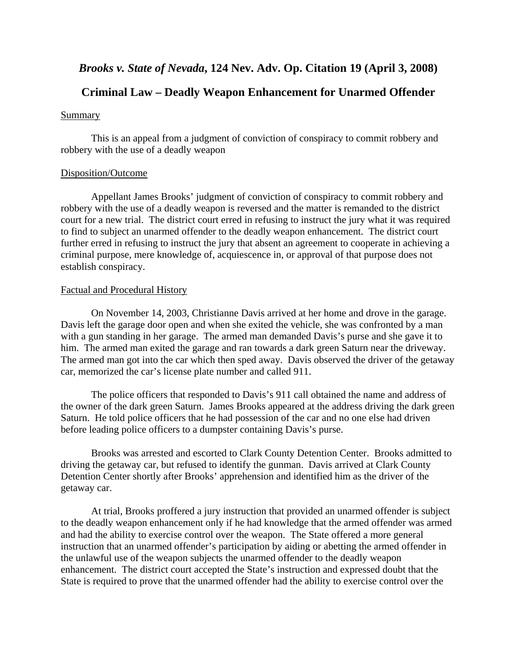## *Brooks v. State of Nevada***, 124 Nev. Adv. Op. Citation 19 (April 3, 2008)**

### **Criminal Law – Deadly Weapon Enhancement for Unarmed Offender**

#### Summary

 This is an appeal from a judgment of conviction of conspiracy to commit robbery and robbery with the use of a deadly weapon

#### Disposition/Outcome

 Appellant James Brooks' judgment of conviction of conspiracy to commit robbery and robbery with the use of a deadly weapon is reversed and the matter is remanded to the district court for a new trial. The district court erred in refusing to instruct the jury what it was required to find to subject an unarmed offender to the deadly weapon enhancement. The district court further erred in refusing to instruct the jury that absent an agreement to cooperate in achieving a criminal purpose, mere knowledge of, acquiescence in, or approval of that purpose does not establish conspiracy.

#### Factual and Procedural History

 On November 14, 2003, Christianne Davis arrived at her home and drove in the garage. Davis left the garage door open and when she exited the vehicle, she was confronted by a man with a gun standing in her garage. The armed man demanded Davis's purse and she gave it to him. The armed man exited the garage and ran towards a dark green Saturn near the driveway. The armed man got into the car which then sped away. Davis observed the driver of the getaway car, memorized the car's license plate number and called 911.

 The police officers that responded to Davis's 911 call obtained the name and address of the owner of the dark green Saturn. James Brooks appeared at the address driving the dark green Saturn. He told police officers that he had possession of the car and no one else had driven before leading police officers to a dumpster containing Davis's purse.

 Brooks was arrested and escorted to Clark County Detention Center. Brooks admitted to driving the getaway car, but refused to identify the gunman. Davis arrived at Clark County Detention Center shortly after Brooks' apprehension and identified him as the driver of the getaway car.

 At trial, Brooks proffered a jury instruction that provided an unarmed offender is subject to the deadly weapon enhancement only if he had knowledge that the armed offender was armed and had the ability to exercise control over the weapon. The State offered a more general instruction that an unarmed offender's participation by aiding or abetting the armed offender in the unlawful use of the weapon subjects the unarmed offender to the deadly weapon enhancement. The district court accepted the State's instruction and expressed doubt that the State is required to prove that the unarmed offender had the ability to exercise control over the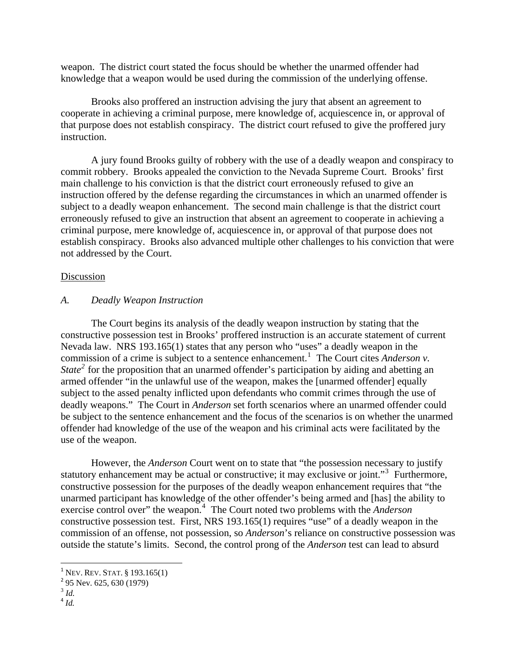weapon. The district court stated the focus should be whether the unarmed offender had knowledge that a weapon would be used during the commission of the underlying offense.

 Brooks also proffered an instruction advising the jury that absent an agreement to cooperate in achieving a criminal purpose, mere knowledge of, acquiescence in, or approval of that purpose does not establish conspiracy. The district court refused to give the proffered jury instruction.

 A jury found Brooks guilty of robbery with the use of a deadly weapon and conspiracy to commit robbery. Brooks appealed the conviction to the Nevada Supreme Court. Brooks' first main challenge to his conviction is that the district court erroneously refused to give an instruction offered by the defense regarding the circumstances in which an unarmed offender is subject to a deadly weapon enhancement. The second main challenge is that the district court erroneously refused to give an instruction that absent an agreement to cooperate in achieving a criminal purpose, mere knowledge of, acquiescence in, or approval of that purpose does not establish conspiracy. Brooks also advanced multiple other challenges to his conviction that were not addressed by the Court.

#### Discussion

#### *A. Deadly Weapon Instruction*

 The Court begins its analysis of the deadly weapon instruction by stating that the constructive possession test in Brooks' proffered instruction is an accurate statement of current Nevada law. NRS 193.165(1) states that any person who "uses" a deadly weapon in the commission of a crime is subject to a sentence enhancement.<sup>[1](#page-2-0)</sup> The Court cites *Anderson v*. *State*<sup>[2](#page-2-1)</sup> for the proposition that an unarmed offender's participation by aiding and abetting an armed offender "in the unlawful use of the weapon, makes the [unarmed offender] equally subject to the assed penalty inflicted upon defendants who commit crimes through the use of deadly weapons." The Court in *Anderson* set forth scenarios where an unarmed offender could be subject to the sentence enhancement and the focus of the scenarios is on whether the unarm ed offender had knowledge of the use of the weapon and his criminal acts were facilitated by th e use of the weapon.

 However, the *Anderson* Court went on to state that "the possession necessary to justify statutory enhancement may be actual or constructive; it may exclusive or joint."<sup>[3](#page-2-2)</sup> Furthermore, constructive possession for the purposes of the deadly weapon enhancement requires that "the unarmed participant has knowledge of the other offender's being armed and [has] the ability to exercise control over" the weapon.<sup>[4](#page-2-3)</sup> The Court noted two problems with the *Anderson* constructive possession test. First, NRS 193.165(1) requires "use" of a deadly weapon in the commission of an offense, not possession, so *Anderson*'s reliance on constructive possession was outside the statute's limits. Second, the control prong of the *Anderson* test can lead to absurd

<span id="page-2-0"></span> $1$  Nev. Rev. Stat. § 193.165(1)

<span id="page-2-1"></span> $2$  95 Nev. 625, 630 (1979)

<span id="page-2-2"></span><sup>3</sup> *Id.*

<span id="page-2-3"></span> $\frac{4}{1}$